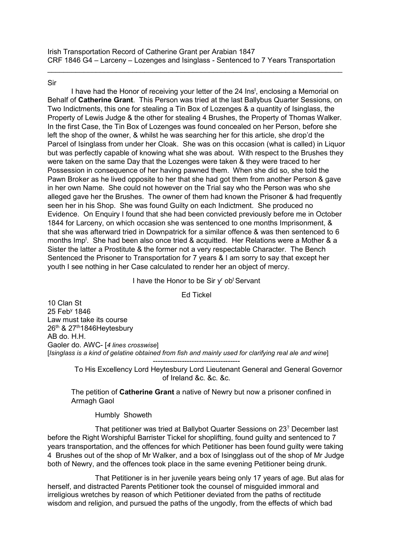$\_$  , and the set of the set of the set of the set of the set of the set of the set of the set of the set of the set of the set of the set of the set of the set of the set of the set of the set of the set of the set of th

Sir

I have had the Honor of receiving your letter of the 24 Ins<sup>t</sup>, enclosing a Memorial on Behalf of **Catherine Grant**. This Person was tried at the last Ballybus Quarter Sessions, on Two Indictments, this one for stealing a Tin Box of Lozenges & a quantity of Isinglass, the Property of Lewis Judge & the other for stealing 4 Brushes, the Property of Thomas Walker. In the first Case, the Tin Box of Lozenges was found concealed on her Person, before she left the shop of the owner, & whilst he was searching her for this article, she drop'd the Parcel of Isinglass from under her Cloak. She was on this occasion (what is called) in Liquor but was perfectly capable of knowing what she was about. With respect to the Brushes they were taken on the same Day that the Lozenges were taken & they were traced to her Possession in consequence of her having pawned them. When she did so, she told the Pawn Broker as he lived opposite to her that she had got them from another Person & gave in her own Name. She could not however on the Trial say who the Person was who she alleged gave her the Brushes. The owner of them had known the Prisoner & had frequently seen her in his Shop. She was found Guilty on each Indictment. She produced no Evidence. On Enquiry I found that she had been convicted previously before me in October 1844 for Larceny, on which occasion she was sentenced to one months Imprisonment, & that she was afterward tried in Downpatrick for a similar offence & was then sentenced to 6 months Imp<sup>t</sup>. She had been also once tried & acquitted. Her Relations were a Mother & a Sister the latter a Prostitute & the former not a very respectable Character. The Bench Sentenced the Prisoner to Transportation for 7 years & I am sorry to say that except her youth I see nothing in her Case calculated to render her an object of mercy.

I have the Honor to be Sir y' obt Servant

Ed Tickel

10 Clan St 25 Feby 1846 Law must take its course 26th & 27th1846Heytesbury AB do. H.H. Gaoler do. AWC- [*4 lines crosswise*] [*Isinglass is a kind of gelatine obtained from fish and mainly used for clarifying real ale and wine*]

------------------------------------ To His Excellency Lord Heytesbury Lord Lieutenant General and General Governor of Ireland &c. &c. &c.

The petition of **Catherine Grant** a native of Newry but now a prisoner confined in Armagh Gaol

Humbly Showeth

That petitioner was tried at Ballybot Quarter Sessions on 23? December last before the Right Worshipful Barrister Tickel for shoplifting, found guilty and sentenced to 7 years transportation, and the offences for which Petitioner has been found guilty were taking 4 Brushes out of the shop of Mr Walker, and a box of Isingglass out of the shop of Mr Judge both of Newry, and the offences took place in the same evening Petitioner being drunk.

That Petitioner is in her juvenile years being only 17 years of age. But alas for herself, and distracted Parents Petitioner took the counsel of misguided immoral and irreligious wretches by reason of which Petitioner deviated from the paths of rectitude wisdom and religion, and pursued the paths of the ungodly, from the effects of which bad